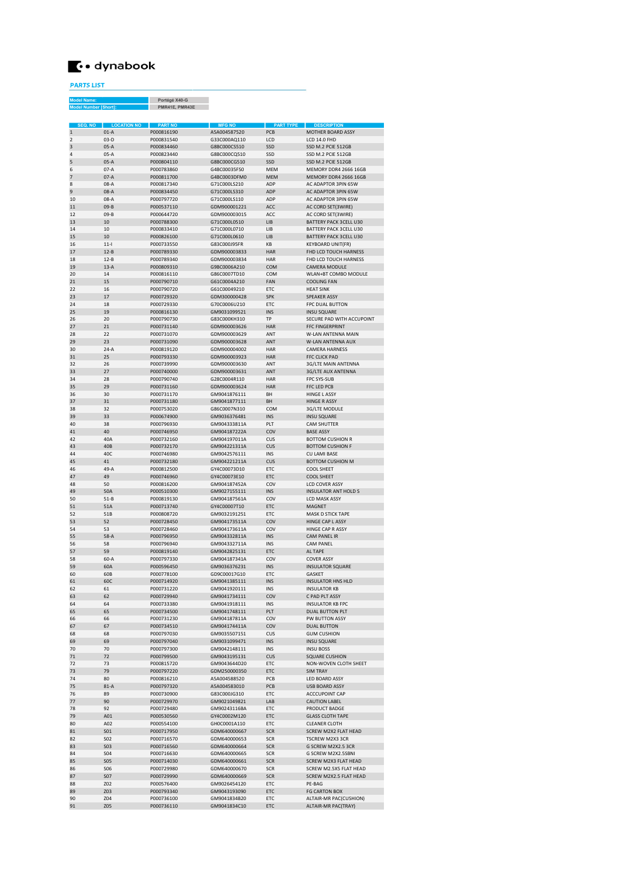

## PARTS LIST

Portégé X40-G PMR41E, PMR43E Model Name: Model Number [Short]:

| SEQ. NO        | <b>LOCATION NO</b> | <b>PART NO</b> | <b>MFG NO</b> | <b>PART TYPE</b> | <b>DESCRIPTION</b>          |
|----------------|--------------------|----------------|---------------|------------------|-----------------------------|
| $\mathbf{1}$   | $01-A$             | P000816190     | A5A004587520  | <b>PCB</b>       | MOTHER BOARD ASSY           |
|                |                    | P000831540     | G33C000AO110  |                  | LCD 14.0 FHD                |
| $\overline{2}$ | $03-D$             |                |               | LCD              |                             |
| 3              | $05-A$             | P000834460     | G8BC000CS510  | SSD              | SSD M.2 PCIE 512GB          |
| 4              | $05-A$             | P000823440     | G8BC000CQ510  | SSD              | SSD M.2 PCIE 512GB          |
| 5              | $05-A$             | P000804110     | G8BC000CG510  | SSD              | SSD M.2 PCIE 512GB          |
| 6              | $07-A$             | P000783860     | G4BC00035ES0  | <b>MFM</b>       | MEMORY DDR4 2666 16GB       |
|                |                    |                | G4BC0003DFM0  |                  |                             |
| $\overline{7}$ | $07-A$             | P000811700     |               | <b>MEM</b>       | MEMORY DDR4 2666 16GB       |
| 8              | $08-A$             | P000817340     | G71C000LS210  | ADP              | AC ADAPTOR 3PIN 65W         |
| $\overline{9}$ | $08-A$             | P000834450     | G71C000LS310  | ADP              | AC ADAPTOR 3PIN 65W         |
| 10             | 08-A               | P000797720     | G71C000LS110  | ADP              | AC ADAPTOR 3PIN 65W         |
| 11             | $09 - B$           | P000537110     | GDM900001221  | ACC.             | AC CORD SET(3WIRE)          |
|                |                    |                |               |                  |                             |
| 12             | $09 - B$           | P000644720     | GDM900003015  | ACC              | AC CORD SET(3WIRE)          |
| 13             | 10                 | P000788300     | G71C000L0510  | <b>LIB</b>       | BATTERY PACK 3CELL U30      |
| 14             | 10                 | P000833410     | G71C000L0710  | LIB              | BATTERY PACK 3CELL U30      |
| 15             | 10                 | P000826100     | G71C000L0610  | <b>LIB</b>       | BATTERY PACK 3CELL U30      |
|                |                    |                |               |                  |                             |
| 16             | $11 -$             | P000733550     | G83C000J95FR  | <b>KB</b>        | <b>KEYBOARD UNIT(FR)</b>    |
| 17             | $12 - B$           | P000789330     | GDM900003833  | <b>HAR</b>       | FHD LCD TOUCH HARNESS       |
| 18             | $12 - B$           | P000789340     | GDM900003834  | <b>HAR</b>       | FHD LCD TOUCH HARNESS       |
| 19             | $13-A$             | P000809310     | G9BC0006A210  | COM              | <b>CAMERA MODULE</b>        |
|                |                    |                |               |                  |                             |
| 20             | 14                 | P000816110     | G86C0007TD10  | COM              | WLAN+BT COMBO MODULE        |
| 21             | 15                 | P000790710     | G61C0004A210  | FAN              | <b>COOLING FAN</b>          |
| 22             | 16                 | P000790720     | G61C00049210  | FTC              | <b>HFAT SINK</b>            |
| 23             | 17                 | P000729320     | GDM300000428  | <b>SPK</b>       | <b>SPEAKER ASSY</b>         |
| 24             | 18                 | P000729330     | G70C0006U210  | <b>ETC</b>       | <b>FPC DUAL BUTTON</b>      |
|                |                    |                |               |                  |                             |
| 25             | 19                 | P000816130     | GM9031099521  | <b>INS</b>       | <b>INSU SQUARE</b>          |
| 26             | 20                 | P000790730     | G83C000KH310  | TP               | SECURE PAD WITH ACCUPOINT   |
| 27             | 21                 | P000731140     | GDM900003626  | HAR              | <b>FFC FINGERPRINT</b>      |
| 28             | 22                 | P000731070     | GDM900003629  | ANT              | <b>W-LAN ANTENNA MAIN</b>   |
|                |                    |                |               |                  |                             |
| 29             | 23                 | P000731090     | GDM900003628  | ANT              | W-LAN ANTENNA AUX           |
| 30             | $24-A$             | P000819120     | GDM900004002  | <b>HAR</b>       | <b>CAMERA HARNESS</b>       |
| 31             | 25                 | P000793330     | GDM900003923  | <b>HAR</b>       | <b>FFC CLICK PAD</b>        |
| 32             | 26                 | P000739990     | GDM900003630  | ANT              | 3G/LTE MAIN ANTENNA         |
|                |                    |                |               |                  |                             |
| 33             | 27                 | P000740000     | GDM900003631  | ANT              | <b>3G/LTE AUX ANTENNA</b>   |
| 34             | 28                 | P000790740     | G28C0004R110  | HAR              | <b>FPC SYS-SUB</b>          |
| 35             | 29                 | P000731160     | GDM900003624  | <b>HAR</b>       | <b>FFC LED PCB</b>          |
| 36             | 30                 | P000731170     | GM9041876111  | <b>BH</b>        | <b>HINGE L ASSY</b>         |
|                |                    |                |               | <b>BH</b>        | <b>HINGE R ASSY</b>         |
| 37             | 31                 | P000731180     | GM9041877111  |                  |                             |
| 38             | 32                 | P000753020     | G86C0007N310  | COM              | 3G/LTE MODULE               |
| 39             | 33                 | P000674900     | GM9036376481  | <b>INS</b>       | <b>INSU SQUARE</b>          |
| 40             | 38                 | P000796930     | GM904333811A  | PIT              | <b>CAM SHUTTER</b>          |
| 41             | 40                 | P000746950     | GM904187222A  | COV              | <b>BASE ASSY</b>            |
|                |                    |                |               |                  |                             |
| 42             | 40A                | P000732160     | GM904197011A  | CUS              | <b>BOTTOM CUSHION R</b>     |
| 43             | 40 <sub>B</sub>    | P000732170     | GM904221311A  | CUS              | <b>BOTTOM CUSHION F</b>     |
| 44             | 40C                | P000746980     | GM9042576111  | <b>INS</b>       | <b>CU LAMI BASE</b>         |
| 45             | 41                 | P000732180     | GM904221211A  | CUS              | <b>BOTTOM CUSHION M</b>     |
|                |                    |                |               |                  |                             |
| 46             | 49-A               | P000812500     | GY4C00073D10  | ETC              | <b>COOL SHEET</b>           |
| 47             | 49                 | P000746960     | GY4C00073E10  | FTC              | <b>COOL SHEET</b>           |
| 48             | 50                 | P000816200     | GM904187452A  | COV              | <b>LCD COVER ASSY</b>       |
| 49             | 50A                | P000510300     | GM9027155111  | <b>INS</b>       | <b>INSULATOR ANT HOLD S</b> |
| 50             | $51 - B$           |                |               | COV              |                             |
|                |                    | P000819130     | GM904187561A  |                  | LCD MASK ASSY               |
| 51             | 51A                | P000713740     | GY4C00007T10  | ETC              | <b>MAGNET</b>               |
| 52             | 51B                | P000808720     | GM9032191251  | ETC              | MASK D STICK TAPE           |
| 53             | 52                 | P000728450     | GM904173511A  | COV              | <b>HINGE CAP L ASSY</b>     |
| 54             | 53                 | P000728460     | GM904173611A  | COV              | HINGE CAP R ASSY            |
|                |                    |                |               |                  |                             |
| 55             | $58-A$             | P000796950     | GM904332811A  | <b>INS</b>       | CAM PANEL IR                |
| 56             | 58                 | P000796940     | GM904332711A  | <b>INS</b>       | CAM PANEL                   |
| 57             | 59                 | P000819140     | GM9042825131  | FTC              | AL TAPE                     |
| 58             | $60-A$             | P000797330     | GM904187341A  | COV              | <b>COVER ASSY</b>           |
| 59             | 60A                | P000596450     | GM9036376231  | <b>INS</b>       |                             |
|                |                    |                |               |                  | <b>INSULATOR SQUARE</b>     |
| 60             | 60B                | P000778100     | GD9C00017G10  | ETC              | <b>GASKET</b>               |
| 61             | 60C                | P000714920     | GM9041385111  | <b>INS</b>       | <b>INSULATOR HNS HLD</b>    |
| 62             | 61                 | P000731220     | GM9041920111  | <b>INS</b>       | <b>INSULATOR KB</b>         |
| 63             | 62                 | P000729940     | GM9041734111  | COV              | C PAD PLT ASSY              |
|                |                    |                |               |                  |                             |
| 64             | 64                 | P000733380     | GM9041918111  | <b>INS</b>       | <b>INSULATOR KB FPC</b>     |
| 65             | 65                 | P000734500     | GM9041748111  | PLT              | DUAL BUTTON PLT             |
| 66             | 66                 | P000731230     | GM904187811A  | COV              | PW BUTTON ASSY              |
| 67             | 67                 | P000734510     | GM904174411A  | COV              | <b>DUAL BUTTON</b>          |
| 68             | 68                 | P000797030     | GM9035507151  | CUS              | <b>GUM CUSHION</b>          |
| 69             | 69                 | P000797040     | GM9031099471  | <b>INS</b>       | <b>INSU SQUARE</b>          |
|                |                    |                |               |                  |                             |
| 70             | 70                 | P000797300     | GM9042148111  | <b>INS</b>       | <b>INSU BOSS</b>            |
| 71             | 72                 | P000799500     | GM9043195131  | CUS              | <b>SQUARE CUSHION</b>       |
| 72             | 73                 | P000815720     | GM9043644D20  | ETC              | NON-WOVEN CLOTH SHEET       |
| 73             | 79                 | P000797220     | GDM250000350  | <b>ETC</b>       | <b>SIM TRAY</b>             |
|                |                    |                |               |                  |                             |
| 74             | 80                 | P000816210     | A5A004588520  | PCB              | LED BOARD ASSY              |
| 75             | $81-A$             | P000797320     | A5A004583010  | PCB              | <b>USB BOARD ASSY</b>       |
| 76             | 89                 | P000730900     | G83C000JG310  | ETC              | <b>ACCCUPOINT CAP</b>       |
| 77             | 90                 | P000729970     | GM9021049821  | LAB              | <b>CAUTION LABEL</b>        |
|                |                    |                |               |                  |                             |
| 78             | 92                 | P000729480     | GM90243116BA  | ETC              | PRODUCT BADGE               |
| 79             | A01                | P000530560     | GY4C0002M120  | ETC              | <b>GLASS CLOTH TAPE</b>     |
| 80             | A02                | P000554100     | GH0C0001A110  | ETC              | <b>CLEANER CLOTH</b>        |
| 81             | <b>SO1</b>         | P000717950     | GDM640000667  | <b>SCR</b>       | SCREW M2X2 FLAT HEAD        |
|                |                    |                |               |                  |                             |
| 82             | <b>SO2</b>         | P000716570     | GDM640000653  | <b>SCR</b>       | TSCREW M2X3 3CR             |
| 83             | <b>SO3</b>         | P000716560     | GDM640000664  | <b>SCR</b>       | G SCREW M2X2.5 3CR          |
| 84             | <b>SO4</b>         | P000716630     | GDM640000665  | <b>SCR</b>       | G SCREW M2X2.5SBNI          |
| 85             | <b>SO5</b>         | P000714030     | GDM640000661  | <b>SCR</b>       | SCREW M2X3 FLAT HEAD        |
|                |                    |                |               |                  |                             |
| 86             | <b>SO6</b>         | P000729980     | GDM640000670  | <b>SCR</b>       | SCREW M2.5X5 FLAT HEAD      |
| 87             | <b>SO7</b>         | P000729990     | GDM640000669  | <b>SCR</b>       | SCREW M2X2.5 FLAT HEAD      |
| 88             | Z02                | P000576400     | GM9026454120  | ETC              | PE-BAG                      |
| 89             | Z03                | P000793340     | GM9043193090  | ETC              | <b>FG CARTON BOX</b>        |
| 90             |                    |                |               |                  |                             |
|                | Z04                | P000736100     | GM9041834B20  | ETC              | ALTAIR-MR PAC(CUSHION)      |
| 91             | Z05                | P000736110     | GM9041834C10  | ETC              | ALTAIR-MR PAC(TRAY)         |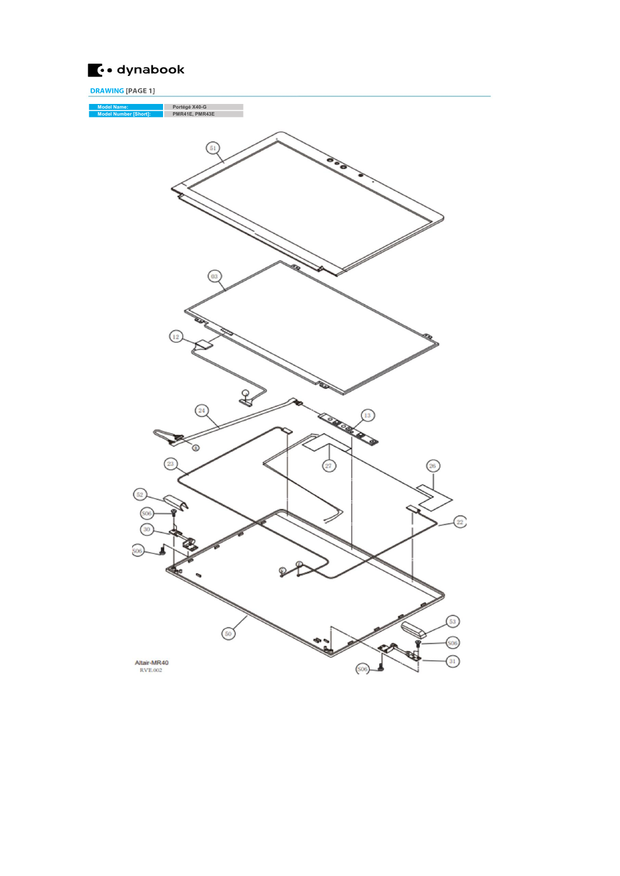

DRAWING [PAGE 1] Model Name: Portégé X40-G Model Number [Short]: PMR41E, PMR43E (1: **SASA** Ó  $\circled{c}$  $\left(52\right)$ Q. (soe  $\widehat{22}$ G.  $506$  $\sqrt{53}$  $\odot$ **SO6** Altair-MR40<br>RVE.002  $\overline{31}$  $\left( 506 \right)$